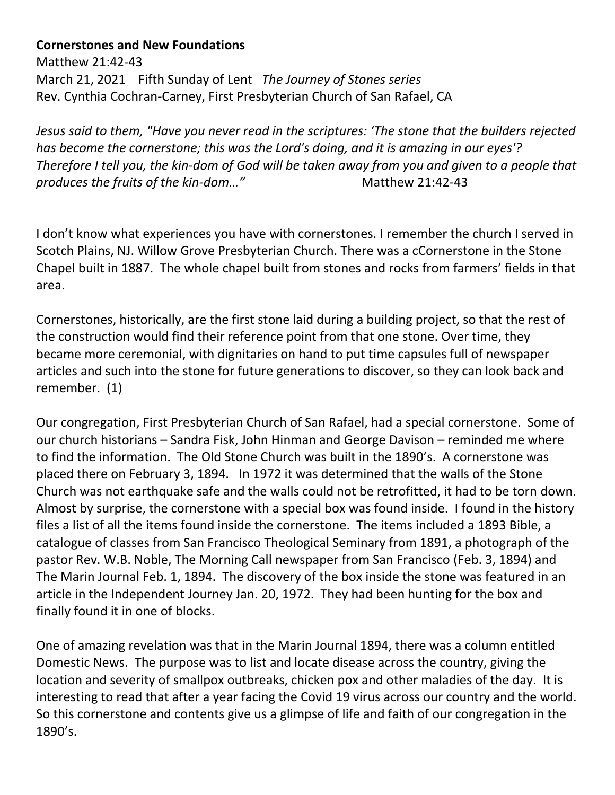## **Cornerstones and New Foundations**

Matthew 21:42-43 March 21, 2021 Fifth Sunday of Lent *The Journey of Stones series* Rev. Cynthia Cochran-Carney, First Presbyterian Church of San Rafael, CA

*Jesus said to them, "Have you never read in the scriptures: 'The stone that the builders rejected has become the cornerstone; this was the Lord's doing, and it is amazing in our eyes'? Therefore I tell you, the kin-dom of God will be taken away from you and given to a people that*  produces the fruits of the kin-dom..." Matthew 21:42-43

I don't know what experiences you have with cornerstones. I remember the church I served in Scotch Plains, NJ. Willow Grove Presbyterian Church. There was a cCornerstone in the Stone Chapel built in 1887. The whole chapel built from stones and rocks from farmers' fields in that area.

Cornerstones, historically, are the first stone laid during a building project, so that the rest of the construction would find their reference point from that one stone. Over time, they became more ceremonial, with dignitaries on hand to put time capsules full of newspaper articles and such into the stone for future generations to discover, so they can look back and remember. (1)

Our congregation, First Presbyterian Church of San Rafael, had a special cornerstone. Some of our church historians – Sandra Fisk, John Hinman and George Davison – reminded me where to find the information. The Old Stone Church was built in the 1890's. A cornerstone was placed there on February 3, 1894. In 1972 it was determined that the walls of the Stone Church was not earthquake safe and the walls could not be retrofitted, it had to be torn down. Almost by surprise, the cornerstone with a special box was found inside. I found in the history files a list of all the items found inside the cornerstone. The items included a 1893 Bible, a catalogue of classes from San Francisco Theological Seminary from 1891, a photograph of the pastor Rev. W.B. Noble, The Morning Call newspaper from San Francisco (Feb. 3, 1894) and The Marin Journal Feb. 1, 1894. The discovery of the box inside the stone was featured in an article in the Independent Journey Jan. 20, 1972. They had been hunting for the box and finally found it in one of blocks.

One of amazing revelation was that in the Marin Journal 1894, there was a column entitled Domestic News. The purpose was to list and locate disease across the country, giving the location and severity of smallpox outbreaks, chicken pox and other maladies of the day. It is interesting to read that after a year facing the Covid 19 virus across our country and the world. So this cornerstone and contents give us a glimpse of life and faith of our congregation in the 1890's.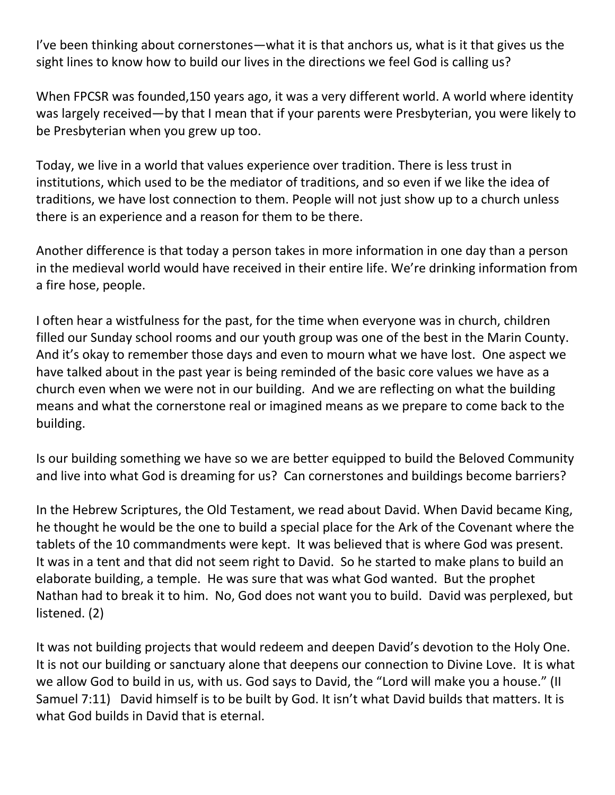I've been thinking about cornerstones—what it is that anchors us, what is it that gives us the sight lines to know how to build our lives in the directions we feel God is calling us?

When FPCSR was founded,150 years ago, it was a very different world. A world where identity was largely received—by that I mean that if your parents were Presbyterian, you were likely to be Presbyterian when you grew up too.

Today, we live in a world that values experience over tradition. There is less trust in institutions, which used to be the mediator of traditions, and so even if we like the idea of traditions, we have lost connection to them. People will not just show up to a church unless there is an experience and a reason for them to be there.

Another difference is that today a person takes in more information in one day than a person in the medieval world would have received in their entire life. We're drinking information from a fire hose, people.

I often hear a wistfulness for the past, for the time when everyone was in church, children filled our Sunday school rooms and our youth group was one of the best in the Marin County. And it's okay to remember those days and even to mourn what we have lost. One aspect we have talked about in the past year is being reminded of the basic core values we have as a church even when we were not in our building. And we are reflecting on what the building means and what the cornerstone real or imagined means as we prepare to come back to the building.

Is our building something we have so we are better equipped to build the Beloved Community and live into what God is dreaming for us? Can cornerstones and buildings become barriers?

In the Hebrew Scriptures, the Old Testament, we read about David. When David became King, he thought he would be the one to build a special place for the Ark of the Covenant where the tablets of the 10 commandments were kept. It was believed that is where God was present. It was in a tent and that did not seem right to David. So he started to make plans to build an elaborate building, a temple. He was sure that was what God wanted. But the prophet Nathan had to break it to him. No, God does not want you to build. David was perplexed, but listened. (2)

It was not building projects that would redeem and deepen David's devotion to the Holy One. It is not our building or sanctuary alone that deepens our connection to Divine Love. It is what we allow God to build in us, with us. God says to David, the "Lord will make you a house." (II Samuel 7:11) David himself is to be built by God. It isn't what David builds that matters. It is what God builds in David that is eternal.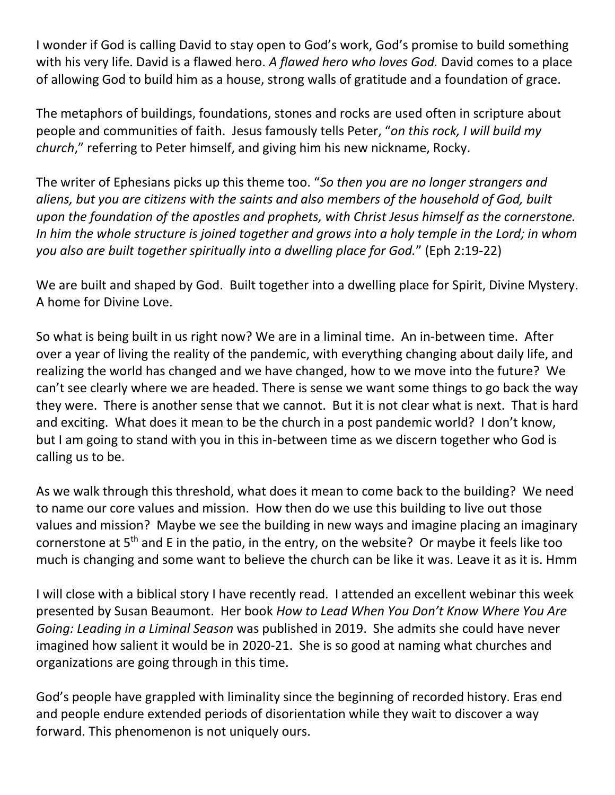I wonder if God is calling David to stay open to God's work, God's promise to build something with his very life. David is a flawed hero. *A flawed hero who loves God.* David comes to a place of allowing God to build him as a house, strong walls of gratitude and a foundation of grace.

The metaphors of buildings, foundations, stones and rocks are used often in scripture about people and communities of faith. Jesus famously tells Peter, "*on this rock, I will build my church*," referring to Peter himself, and giving him his new nickname, Rocky.

The writer of Ephesians picks up this theme too. "*So then you are no longer strangers and aliens, but you are citizens with the saints and also members of the household of God, built upon the foundation of the apostles and prophets, with Christ Jesus himself as the cornerstone. In him the whole structure is joined together and grows into a holy temple in the Lord; in whom you also are built together spiritually into a dwelling place for God.*" (Eph 2:19-22)

We are built and shaped by God. Built together into a dwelling place for Spirit, Divine Mystery. A home for Divine Love.

So what is being built in us right now? We are in a liminal time. An in-between time. After over a year of living the reality of the pandemic, with everything changing about daily life, and realizing the world has changed and we have changed, how to we move into the future? We can't see clearly where we are headed. There is sense we want some things to go back the way they were. There is another sense that we cannot. But it is not clear what is next. That is hard and exciting. What does it mean to be the church in a post pandemic world? I don't know, but I am going to stand with you in this in-between time as we discern together who God is calling us to be.

As we walk through this threshold, what does it mean to come back to the building? We need to name our core values and mission. How then do we use this building to live out those values and mission? Maybe we see the building in new ways and imagine placing an imaginary cornerstone at 5<sup>th</sup> and E in the patio, in the entry, on the website? Or maybe it feels like too much is changing and some want to believe the church can be like it was. Leave it as it is. Hmm

I will close with a biblical story I have recently read. I attended an excellent webinar this week presented by Susan Beaumont. Her book *How to Lead When You Don't Know Where You Are Going: Leading in a Liminal Season* was published in 2019. She admits she could have never imagined how salient it would be in 2020-21. She is so good at naming what churches and organizations are going through in this time.

God's people have grappled with liminality since the beginning of recorded history. Eras end and people endure extended periods of disorientation while they wait to discover a way forward. This phenomenon is not uniquely ours.